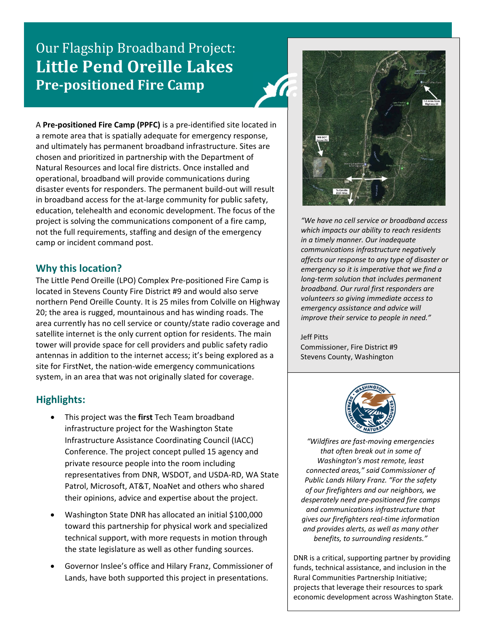# Our Flagship Broadband Project: **Little Pend Oreille Lakes Pre‐positioned Fire Camp**



A **Pre‐positioned Fire Camp (PPFC)** is a pre‐identified site located in a remote area that is spatially adequate for emergency response, and ultimately has permanent broadband infrastructure. Sites are chosen and prioritized in partnership with the Department of Natural Resources and local fire districts. Once installed and operational, broadband will provide communications during disaster events for responders. The permanent build‐out will result in broadband access for the at‐large community for public safety, education, telehealth and economic development. The focus of the project is solving the communications component of a fire camp, not the full requirements, staffing and design of the emergency camp or incident command post.

### **Why this location?**

The Little Pend Oreille (LPO) Complex Pre‐positioned Fire Camp is located in Stevens County Fire District #9 and would also serve northern Pend Oreille County. It is 25 miles from Colville on Highway 20; the area is rugged, mountainous and has winding roads. The area currently has no cell service or county/state radio coverage and satellite internet is the only current option for residents. The main tower will provide space for cell providers and public safety radio antennas in addition to the internet access; it's being explored as a site for FirstNet, the nation‐wide emergency communications system, in an area that was not originally slated for coverage.

## **Highlights:**

- This project was the **first** Tech Team broadband infrastructure project for the Washington State Infrastructure Assistance Coordinating Council (IACC) Conference. The project concept pulled 15 agency and private resource people into the room including representatives from DNR, WSDOT, and USDA‐RD, WA State Patrol, Microsoft, AT&T, NoaNet and others who shared their opinions, advice and expertise about the project.
- Washington State DNR has allocated an initial \$100,000 toward this partnership for physical work and specialized technical support, with more requests in motion through the state legislature as well as other funding sources.
- Governor Inslee's office and Hilary Franz, Commissioner of Lands, have both supported this project in presentations.



*"We have no cell service or broadband access which impacts our ability to reach residents in a timely manner. Our inadequate communications infrastructure negatively affects our response to any type of disaster or emergency so it is imperative that we find a long‐term solution that includes permanent broadband. Our rural first responders are volunteers so giving immediate access to emergency assistance and advice will improve their service to people in need."* 

Jeff Pitts Commissioner, Fire District #9 Stevens County, Washington



*"Wildfires are fast‐moving emergencies that often break out in some of Washington's most remote, least connected areas," said Commissioner of Public Lands Hilary Franz. "For the safety of our firefighters and our neighbors, we desperately need pre‐positioned fire camps and communications infrastructure that gives our firefighters real‐time information and provides alerts, as well as many other benefits, to surrounding residents."*

DNR is a critical, supporting partner by providing funds, technical assistance, and inclusion in the Rural Communities Partnership Initiative; projects that leverage their resources to spark economic development across Washington State.